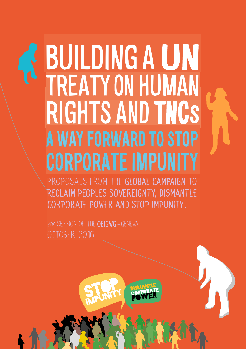# RIGHTS AND TNCs TREATYON HUMAN **BUILDING A UN** A WAY FORWARD TO STOP CORPORATE IMPUNITY

PROPOSALS FROM THE GLOBAL CAMPAIGN TO RECLAIM PEOPLES SOVEREIGNTY, DISMANTLE CORPORATE POWER AND STOP IMPUNITY.

2nd SESSION OF THE OFIGWG - GENEVA OCTOBER 2016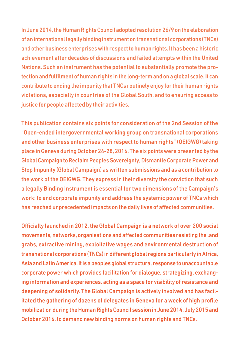In June 2014, the Human Rights Council adopted resolution 26/9 on the elaboration of an international legally binding instrument on transnational corporations (TNCs) and other business enterprises with respect to human rights. It has been a historic achievement after decades of discussions and failed attempts within the United Nations. Such an instrument has the potential to substantially promote the protection and fulfilment of human rights in the long-term and on a global scale. It can contribute to ending the impunity that TNCs routinely enjoy for their human rights violations, especially in countries of the Global South, and to ensuring access to justice for people affected by their activities.

This publication contains six points for consideration of the 2nd Session of the "Open-ended intergovernmental working group on transnational corporations and other business enterprises with respect to human rights" (OEIGWG) taking place in Geneva during October 24-28, 2016. The six points were presented by the Global Campaign to Reclaim Peoples Sovereignty, Dismantle Corporate Power and Stop Impunity (Global Campaign) as written submissions and as a contribution to the work of the OEIGWG. They express in their diversity the conviction that such a legally Binding Instrument is essential for two dimensions of the Campaign's work: to end corporate impunity and address the systemic power of TNCs which has reached unprecedented impacts on the daily lives of affected communities.

Officially launched in 2012, the Global Campaign is a network of over 200 social movements, networks, organisations and affected communities resisting the land grabs, extractive mining, exploitative wages and environmental destruction of transnational corporations (TNCs) in different global regions particularly in Africa, Asia and Latin America. It is a peoples global structural response to unaccountable corporate power which provides facilitation for dialogue, strategizing, exchanging information and experiences, acting as a space for visibility of resistance and deepening of solidarity. The Global Campaign is actively involved and has facilitated the gathering of dozens of delegates in Geneva for a week of high profile mobilization during the Human Rights Council session in June 2014, July 2015 and October 2016, to demand new binding norms on human rights and TNCs.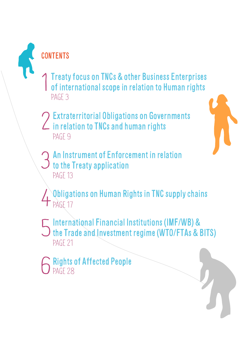**CONTENTS** 

- Treaty focus on TNCs & other Business Enterprises of international scope in relation to Human rights 1 PAGE 3
- Extraterritorial Obligations on Governments in relation to TNCs and human rights 2 PAGE 9



Obligations on Human Rights in TNC supply chains 4 PAGE 17

- International Financial Institutions (IMF/WB) & the Trade and Investment regime (WTO/FTAs & BITS) 5 PAGE 21
- Rights of Affected People 6 PAGE 28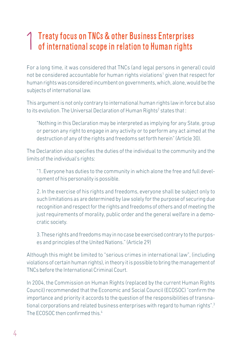#### Treaty focus on TNCs & other Business Enterprises of international scope in relation to Human rights 1

For a long time, it was considered that TNCs (and legal persons in general) could not be considered accountable for human rights violations<sup>1</sup> given that respect for human rights was considered incumbent on governments, which, alone, would be the subjects of international law.

This argument is not only contrary to international human rights law in force but also to its evolution. The Universal Declaration of Human Rights $^{\rm 2}$  states that :

"Nothing in this Declaration may be interpreted as implying for any State, group or person any right to engage in any activity or to perform any act aimed at the destruction of any of the rights and freedoms set forth herein" (Article 30).

The Declaration also specifies the duties of the individual to the community and the limits of the individual's rights:

"1. Everyone has duties to the community in which alone the free and full development of his personality is possible.

2. In the exercise of his rights and freedoms, everyone shall be subject only to such limitations as are determined by law solely for the purpose of securing due recognition and respect for the rights and freedoms of others and of meeting the just requirements of morality, public order and the general welfare in a democratic society.

3. These rights and freedoms may in no case be exercised contrary to the purposes and principles of the United Nations." (Article 29)

Although this might be limited to "serious crimes in international law", (including violations of certain human rights), in theory it is possible to bring the management of TNCs before the International Criminal Court.

In 2004, the Commission on Human Rights (replaced by the current Human Rights Council) recommended that the Economic and Social Council (ECOSOC) "confirm the importance and priority it accords to the question of the responsibilities of transnational corporations and related business enterprises with regard to human rights".<sup>3</sup> The ECOSOC then confirmed this 4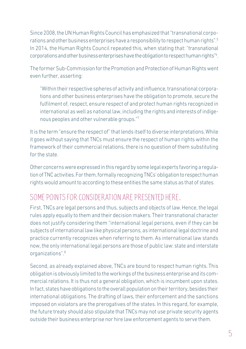Since 2008, the UN Human Rights Council has emphasized that "transnational corporations and other business enterprises have a responsibility to respect human rights".5 In 2014, the Human Rights Council repeated this, when stating that: "transnational corporations and other business enterprises have the obligation to respect human rights"6 .

The former Sub-Commission for the Promotion and Protection of Human Rights went even further, asserting:

"Within their respective spheres of activity and influence, transnational corporations and other business enterprises have the obligation to promote, secure the fulfilment of, respect, ensure respect of and protect human rights recognized in international as well as national law, including the rights and interests of indigenous peoples and other vulnerable groups."7

It is the term "ensure the respect of" that lends itself to diverse interpretations. While it goes without saying that TNCs must ensure the respect of human rights within the framework of their commercial relations, there is no question of them substituting for the state.

Other concerns were expressed in this regard by some legal experts favoring a regulation of TNC activities. For them, formally recognizing TNCs' obligation to respect human rights would amount to according to these entities the same status as that of states.

#### SOME POINTS FOR CONSIDERATION ARE PRESENTED HERE.

First, TNCs are legal persons and thus, subjects and objects of law. Hence, the legal rules apply equally to them and their decision makers. Their transnational character does not justify considering them "international legal persons, even if they can be subjects of international law like physical persons, as international legal doctrine and practice currently recognizes when referring to them. As international law stands now, the only international legal persons are those of public law: state and interstate organizations".<sup>8</sup>

Second, as already explained above, TNCs are bound to respect human rights. This obligation is obviously limited to the workings of the business enterprise and its commercial relations. It is thus not a general obligation, which is incumbent upon states. In fact, states have obligations to the overall population on their territory, besides their international obligations. The drafting of laws, their enforcement and the sanctions imposed on violators are the prerogatives of the states. In this regard, for example, the future treaty should also stipulate that TNCs may not use private security agents outside their business enterprise nor hire law enforcement agents to serve them.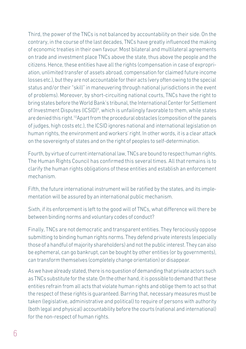Third, the power of the TNCs is not balanced by accountability on their side. On the contrary, in the course of the last decades, TNCs have greatly influenced the making of economic treaties in their own favour. Most bilateral and multilateral agreements on trade and investment place TNCs above the state, thus above the people and the citizens. Hence, these entities have all the rights (compensation in case of expropriation, unlimited transfer of assets abroad, compensation for claimed future income losses etc.), but they are not accountable for their acts (very often owing to the special status and/or their "skill" in maneuvering through national jurisdictions in the event of problems). Moreover, by short-circuiting national courts, TNCs have the right to bring states before the World Bank's tribunal, the International Center for Settlement of Investment Disputes (ICSID)<sup>9</sup>, which is unfailingly favorable to them, while states are denied this right.10Apart from the procedural obstacles (composition of the panels of judges, high costs etc.), the ICSID ignores national and international legislation on human rights, the environment and workers' right. In other words, it is a clear attack on the sovereignty of states and on the right of peoples to self-determination.

Fourth, by virtue of current international law, TNCs are bound to respect human rights. The Human Rights Council has confirmed this several times. All that remains is to clarify the human rights obligations of these entities and establish an enforcement mechanism.

Fifth, the future international instrument will be ratified by the states, and its implementation will be assured by an international public mechanism.

Sixth, if its enforcement is left to the good will of TNCs, what difference will there be between binding norms and voluntary codes of conduct?

Finally, TNCs are not democratic and transparent entities. They ferociously oppose submitting to binding human rights norms. They defend private interests (especially those of a handful of majority shareholders) and not the public interest. They can also be ephemeral, can go bankrupt, can be bought by other entities (or by governments), can transform themselves (completely change orientation) or disappear.

As we have already stated, there is no question of demanding that private actors such as TNCs substitute for the state. On the other hand, it is possible to demand that these entities refrain from all acts that violate human rights and oblige them to act so that the respect of these rights is guaranteed. Barring that, necessary measures must be taken (legislative, administrative and political) to require of persons with authority (both legal and physical) accountability before the courts (national and international) for the non-respect of human rights.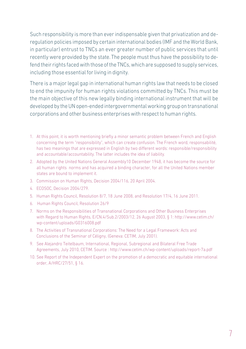Such responsibility is more than ever indispensable given that privatization and deregulation policies imposed by certain international bodies (IMF and the World Bank, in particular) entrust to TNCs an ever greater number of public services that until recently were provided by the state. The people must thus have the possibility to defend their rights faced with those of the TNCs, which are supposed to supply services, including those essential for living in dignity.

There is a major legal gap in international human rights law that needs to be closed to end the impunity for human rights violations committed by TNCs. This must be the main objective of this new legally binding international instrument that will be developed by the UN open-ended intergovernmental working group on transnational corporations and other business enterprises with respect to human rights.

- 1. At this point, it is worth mentioning briefly a minor semantic problem between French and English concerning the term "responsibility", which can create confusion. The French word, responsabilité, has two meanings that are expressed in English by two different words: responsible/responsibility and accountable/accountability. The latter includes the idea of liability.
- 2. Adopted by the United Nations General Assembly10 December 1948, it has become the source for all human rights norms and has acquired a binding character, for all the United Nations member states are bound to implement it.
- 3. Commission on Human Rights, Decision 2004/116, 20 April 2004.
- 4. ECOSOC, Decision 2004/279.
- 5. Human Rights Council, Resolution 8/7, 18 June 2008, and Resolution 17/4, 16 June 2011.
- 6. Human Rights Council, Resolution 26/9
- 7. Norms on the Responsibilities of Transnational Corporations and Other Business Enterprises with Regard to Human Rights, E/CN.4/Sub.2/2003/12, 26 August 2003, § 1: http://www.cetim.ch/ wp-content/uploads/G0316008.pdf
- 8. The Activities of Transnational Corporations: The Need for a Legal Framework: Acts and Conclusions of the Seminar of Céligny, (Geneva: CETIM, July 2001).
- 9. See Alejandro Teitelbaum, International, Regional, Subregional and Bilateral Free Trade Agreements, July 2010, CETIM. Source : http://www.cetim.ch/wp-content/uploads/report-7a.pdf
- 10. See Report of the Independent Expert on the promotion of a democratic and equitable international order, A/HRC/27/51, § 16.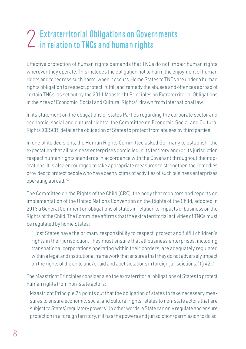## Extraterritorial Obligations on Governments  $\sum$  Extraterritorial Obligations on Gover<br> $\sum$  in relation to TNCs and human rights

Effective protection of human rights demands that TNCs do not impair human rights wherever they operate. This includes the obligation not to harm the enjoyment of human rights and to redress such harm, when it occurs. Home States to TNCs are under a human rights obligation to respect, protect, fulfill and remedy the abuses and offences abroad of certain TNCs, as set out by the 2011 Maastricht Principles on Extraterritorial Obligations in the Area of Economic, Social and Cultural Rights<sup>1</sup>, drawn from international law.

In its statement on the obligations of states Parties regarding the corporate sector and economic, social and cultural rights<sup>2</sup>, the Committee on Economic Social and Cultural Rights (CESCR) details the obligation of States to protect from abuses by third parties.

In one of its decisions, the Human Rights Committee asked Germany to establish "the expectation that all business enterprises domiciled in its territory and/or its jurisdiction respect human rights standards in accordance with the Covenant throughout their operations. It is also encouraged to take appropriate measures to strengthen the remedies provided to protect people who have been victims of activities of such business enterprises operating abroad."3

The Committee on the Rights of the Child (CRC), the body that monitors and reports on implementation of the United Nations Convention on the Rights of the Child, adopted in 2013 a General Comment on obligations of states in relation to impacts of business on the Rights of the Child. The Committee affirms that the extra territorial activities of TNCs must be regulated by home States:

"Host States have the primary responsibility to respect, protect and fulfill children's rights in their jurisdiction. They must ensure that all business enterprises, including transnational corporations operating within their borders, are adequately regulated within a legal and institutional framework that ensures that they do not adversely impact on the rights of the child and/or aid and abet violations in foreign jurisdictions." (§ 42).<sup>4</sup>

The Maastricht Principles consider also the extraterritorial obligations of States to protect human rights from non-state actors:

Maastricht Principle 24 points out that the obligation of states to take necessary measures to ensure economic, social and cultural rights relates to non-state actors that are subject to States' regulatory powers<sup>5</sup>. In other words, a State can only regulate and ensure protection in a foreign territory, if it has the powers and jurisdiction/permission to do so.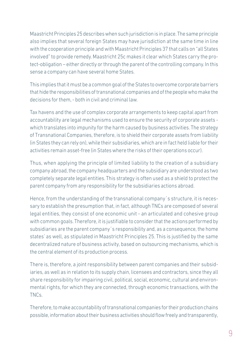Maastricht Principles 25 describes when such jurisdiction is in place. The same principle also implies that several foreign States may have jurisdiction at the same time in line with the cooperation principle and with Maastricht Principles 37 that calls on "all States involved" to provide remedy. Maastricht 25c makes it clear which States carry the protect-obligation – either directly or through the parent of the controlling company. In this sense a company can have several home States.

This implies that it must be a common goal of the States to overcome corporate barriers that hide the responsibilities of transnational companies and of the people who make the decisions for them, - both in civil and criminal law.

Tax havens and the use of complex corporate arrangements to keep capital apart from accountability are legal mechanisms used to ensure the security of corporate assets which translates into impunity for the harm caused by business activities. The strategy of Transnational Companies, therefore, is to shield their corporate assets from liability (in States they can rely on), while their subsidiaries, which are in fact held liable for their activities remain asset-free (in States where the risks of their operations occur).

Thus, when applying the principle of limited liability to the creation of a subsidiary company abroad, the company headquarters and the subsidiary are understood as two completely separate legal entities. This strategy is often used as a shield to protect the parent company from any responsibility for the subsidiaries actions abroad.

Hence, from the understanding of the transnational company´s structure, it is necessary to establish the presumption that, in fact, although TNCs are composed of several legal entities, they consist of one economic unit - an articulated and cohesive group with common goals. Therefore, it is justifiable to consider that the actions performed by subsidiaries are the parent company´s responsibility and, as a consequence, the home states' as well, as stipulated in Maastricht Principles 25. This is justified by the same decentralized nature of business activity, based on outsourcing mechanisms, which is the central element of its production process.

There is, therefore, a joint responsibility between parent companies and their subsidiaries, as well as in relation to its supply chain, licensees and contractors, since they all share responsibility for impairing civil, political, social, economic, cultural and environmental rights, for which they are connected, through economic transactions, with the TNCs.

Therefore, to make accountability of transnational companies for their production chains possible, information about their business activities should flow freely and transparently,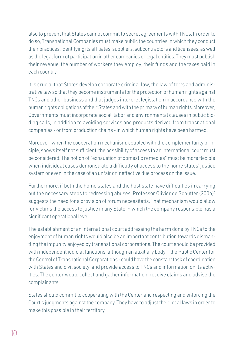also to prevent that States cannot commit to secret agreements with TNCs. In order to do so, Transnational Companies must make public the countries in which they conduct their practices, identifying its affiliates, suppliers, subcontractors and licensees, as well as the legal form of participation in other companies or legal entities. They must publish their revenue, the number of workers they employ, their funds and the taxes paid in each country.

It is crucial that States develop corporate criminal law, the law of torts and administrative law so that they become instruments for the protection of human rights against TNCs and other business and that judges interpret legislation in accordance with the human rights obligations of their States and with the primacy of human rights. Moreover, Governments must incorporate social, labor and environmental clauses in public bidding calls, in addition to avoiding services and products derived from transnational companies - or from production chains - in which human rights have been harmed.

Moreover, when the cooperation mechanism, coupled with the complementarity principle, shows itself not sufficient, the possibility of access to an international court must be considered. The notion of "exhaustion of domestic remedies" must be more flexible when individual cases demonstrate a difficulty of access to the home states' justice system or even in the case of an unfair or ineffective due process on the issue.

Furthermore, if both the home states and the host state have difficulties in carrying out the necessary steps to redressing abuses, Professor Olivier de Schutter (2006)6 suggests the need for a provision of forum necessitatis. That mechanism would allow for victims the access to justice in any State in which the company responsible has a significant operational level.

The establishment of an international court addressing the harm done by TNCs to the enjoyment of human rights would also be an important contribution towards dismantling the impunity enjoyed by transnational corporations. The court should be provided with independent judicial functions, although an auxiliary body – the Public Center for the Control of Transnational Corporations - could have the constant task of coordination with States and civil society, and provide access to TNCs and information on its activities. The center would collect and gather information, receive claims and advise the complainants.

States should commit to cooperating with the Center and respecting and enforcing the Court's judgments against the company. They have to adjust their local laws in order to make this possible in their territory.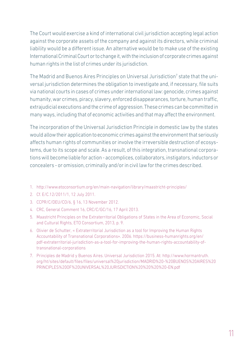The Court would exercise a kind of international civil jurisdiction accepting legal action against the corporate assets of the company and against its directors, while criminal liability would be a different issue. An alternative would be to make use of the existing International Criminal Court or to change it, with the inclusion of corporate crimes against human rights in the list of crimes under its jurisdiction.

The Madrid and Buenos Aires Principles on Universal Jurisdiction $^\prime$  state that the universal jurisdiction determines the obligation to investigate and, if necessary, file suits via national courts in cases of crimes under international law: genocide, crimes against humanity, war crimes, piracy, slavery, enforced disappearances, torture, human traffic, extrajudicial executions and the crime of aggression. These crimes can be committed in many ways, including that of economic activities and that may affect the environment.

The incorporation of the Universal Jurisdiction Principle in domestic law by the states would allow their application to economic crimes against the environment that seriously affects human rights of communities or involve the irreversible destruction of ecosystems, due to its scope and scale. As a result, of this integration, transnational corporations will become liable for action - accomplices, collaborators, instigators, inductors or concealers - or omission, criminally and/or in civil law for the crimes described.

- 1. http://www.etoconsortium.org/en/main-navigation/library/maastricht-principles/
- 2. Cf. E/C.12/2011/1, 12 July 2011.
- 3. CCPR/C/DEU/CO/6, § 16, 13 November 2012.
- 4. CRC, General Comment 16, CRC/C/GC/16, 17 April 2013.
- 5. Maastricht Principles on the Extraterritorial Obligations of States in the Area of Economic, Social and Cultural Rights, ETO Consortium, 2013, p. 9.
- 6. Olivier de Schutter, « Extraterritorial Jurisdiction as a tool for Improving the Human Rights Accountability of Transnational Corporations». 2006. https://business-humanrights.org/en/ pdf-extraterritorial-jurisdiction-as-a-tool-for-improving-the-human-rights-accountability-oftransnational-corporations
- 7. Principles de Madrid y Buenos Aires. Universal Jurisdiction 2015. At: http://www.hormantruth. org/ht/sites/default/files/files/universal%20jurisdiction/MADRID%20-%20BUENOS%20AIRES%20 PRINCIPLES%20OF%20UNIVERSAL%20JURISDICTION%20%20%20%20-EN.pdf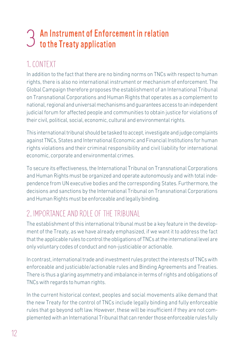# An Instrument of Enforcement in relation  $\mathfrak I$  an Instrument of Enforc<br> $\mathfrak I$  to the Treaty application

## 1. CONTEXT

In addition to the fact that there are no binding norms on TNCs with respect to human rights, there is also no international instrument or mechanism of enforcement. The Global Campaign therefore proposes the establishment of an International Tribunal on Transnational Corporations and Human Rights that operates as a complement to national, regional and universal mechanisms and guarantees access to an independent judicial forum for affected people and communities to obtain justice for violations of their civil, political, social, economic, cultural and environmental rights.

This international tribunal should be tasked to accept, investigate and judge complaints against TNCs, States and International Economic and Financial Institutions for human rights violations and their criminal responsibility and civil liability for international economic, corporate and environmental crimes.

To secure its effectiveness, the International Tribunal on Transnational Corporations and Human Rights must be organized and operate autonomously and with total independence from UN executive bodies and the corresponding States. Furthermore, the decisions and sanctions by the International Tribunal on Transnational Corporations and Human Rights must be enforceable and legally binding.

## 2. IMPORTANCE AND ROLE OF THE TRIBUNAL

The establishment of this international tribunal must be a key feature in the development of the Treaty, as we have already emphasized, if we want it to address the fact that the applicable rules to control the obligations of TNCs at the international level are only voluntary codes of conduct and non-justiciable or actionable.

In contrast, international trade and investment rules protect the interests of TNCs with enforceable and justiciable/actionable rules and Binding Agreements and Treaties. There is thus a glaring asymmetry and imbalance in terms of rights and obligations of TNCs with regards to human rights.

In the current historical context, peoples and social movements alike demand that the new Treaty for the control of TNCs include legally binding and fully enforceable rules that go beyond soft law. However, these will be insufficient if they are not complemented with an International Tribunal that can render those enforceable rules fully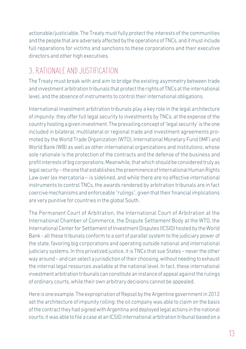actionable/justiciable. The Treaty must fully protect the interests of the communities and the people that are adversely affected by the operations of TNCs, and it must include full reparations for victims and sanctions to these corporations and their executive directors and other high executives.

#### 3. RATIONALE AND JUSTIFICATION

The Treaty must break with and aim to bridge the existing asymmetry between trade and investment arbitration tribunals that protect the rights of TNCs at the international level, and the absence of instruments to control their international obligations.

International investment arbitration tribunals play a key role in the legal architecture of impunity: they offer full legal security to investments by TNCs, at the expense of the country hosting a given investment. The prevailing concept of 'legal security' is the one included in bilateral, multilateral or regional trade and investment agreements promoted by the World Trade Organization (WTO), International Monetary Fund (IMF) and World Bank (WB) as well as other international organizations and institutions, whose sole rationale is the protection of the contracts and the defense of the business and profit interests of big corporations. Meanwhile, that which should be considered truly as legal security --the one that establishes the preeminence of International Human Rights Law over lex mercatoria-- is sidelined, and while there are no effective international instruments to control TNCs, the awards rendered by arbitration tribunals are in fact coercive mechanisms and enforceable "rulings", given that their financial implications are very punitive for countries in the global South.

The Permanent Court of Arbitration, the International Court of Arbitration at the International Chamber of Commerce, the Dispute Settlement Body at the WTO, the International Center for Settlement of Investment Disputes (ICSID) hosted by the World Bank - all these tribunals conform to a sort of parallel system to the judiciary power of the state, favoring big corporations and operating outside national and international judiciary systems. In this privatized justice, it is TNCs that sue States – never the other way around – and can select a jurisdiction of their choosing, without needing to exhaust the internal legal resources available at the national level. In fact, these international investment arbitration tribunals can constitute an instance of appeal against the rulings of ordinary courts, while their own arbitrary decisions cannot be appealed.

Here is one example. The expropriation of Repsol by the Argentine government in 2012 set the architecture of impunity rolling: the oil company was able to claim on the basis of the contract they had signed with Argentina and deployed legal actions in the national courts; it was able to file a case at an ICSID international arbitration tribunal based on a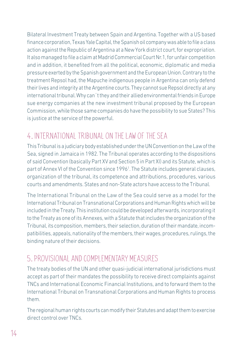Bilateral Investment Treaty between Spain and Argentina. Together with a US based finance corporation, Texas Yale Capital, the Spanish oil company was able to file a class action against the Republic of Argentina at a New York district court, for expropriation. It also managed to file a claim at Madrid Commercial Court Nr.1, for unfair competition and in addition, it benefited from all the political, economic, diplomatic and media pressure exerted by the Spanish government and the European Union. Contrary to the treatment Repsol had, the Mapuche indigenous people in Argentina can only defend their lives and integrity at the Argentine courts. They cannot sue Repsol directly at any international tribunal. Why can´t they and their allied environmental friends in Europe sue energy companies at the new investment tribunal proposed by the European Commission, while those same companies do have the possibility to sue States? This is justice at the service of the powerful.

### 4. INTERNATIONAL TRIBUNAL ON THE LAW OF THE SEA

This Tribunal is a judiciary body established under the UN Convention on the Law of the Sea, signed in Jamaica in 1982. The Tribunal operates according to the dispositions of said Convention (basically Part XV and Section 5 in Part XI) and its Statute, which is part of Annex VI of the Convention since 19961 . The Statute includes general clauses, organization of the tribunal, its competence and attributions, procedures, various courts and amendments. States and non-State actors have access to the Tribunal.

The International Tribunal on the Law of the Sea could serve as a model for the International Tribunal on Transnational Corporations and Human Rights which will be included in the Treaty. This institution could be developed afterwards, incorporating it to the Treaty as one of its Annexes, with a Statute that includes the organization of the Tribunal, its composition, members, their selection, duration of their mandate, incompatibilities, appeals, nationality of the members, their wages, procedures, rulings, the binding nature of their decisions.

### 5. PROVISIONAL AND COMPLEMENTARY MEASURES

The treaty bodies of the UN and other quasi-judicial international jurisdictions must accept as part of their mandates the possibility to receive direct complaints against TNCs and International Economic Financial Institutions, and to forward them to the International Tribunal on Transnational Corporations and Human Rights to process them.

The regional human rights courts can modify their Statutes and adapt them to exercise direct control over TNCs.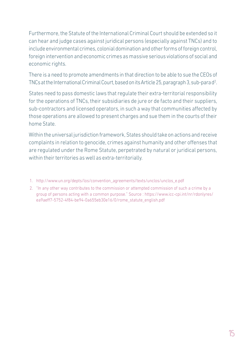Furthermore, the Statute of the International Criminal Court should be extended so it can hear and judge cases against juridical persons (especially against TNCs) and to include environmental crimes, colonial domination and other forms of foreign control, foreign intervention and economic crimes as massive serious violations of social and economic rights.

There is a need to promote amendments in that direction to be able to sue the CEOs of TNCs at the International Criminal Court, based on its Article 25, paragraph 3, sub-para d $^2$ .

States need to pass domestic laws that regulate their extra-territorial responsibility for the operations of TNCs, their subsidiaries de jure or de facto and their suppliers, sub-contractors and licensed operators, in such a way that communities affected by those operations are allowed to present charges and sue them in the courts of their home State.

Within the universal jurisdiction framework, States should take on actions and receive complaints in relation to genocide, crimes against humanity and other offenses that are regulated under the Rome Statute, perpetrated by natural or juridical persons, within their territories as well as extra-territorially.

- 1. http://www.un.org/depts/los/convention\_agreements/texts/unclos/unclos\_e.pdf
- 2. "In any other way contributes to the commission or attempted commission of such a crime by a group of persons acting with a common purpose." Source : https://www.icc-cpi.int/nr/rdonlyres/ ea9aeff7-5752-4f84-be94-0a655eb30e16/0/rome\_statute\_english.pdf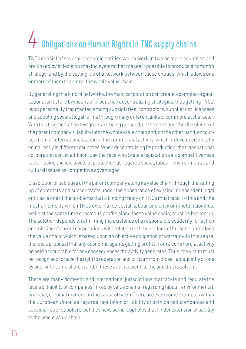# Obligations on Human Rights in TNC supply chains 4

TNCs consist of several economic entities which work in two or more countries and are linked by a decision making system that makes it possible to produce a common strategy, and by the setting-up of a network between those entities, which allows one or more of them to control the whole value chain.

By generating this kind of networks, the main corporation can create a complex organisational structure by means of production decentralizing strategies, thus getting TNCs' legal personality fragmented among subsidiaries, contractors, suppliers or licensees and adopting several legal forms through many different links of commercial character. With this fragmentation two goals are being pursued, on the one hand, the dissolution of the parent company's liability into the whole value chain and, on the other hand, encouragement of internationalisation of the commercial activity, which is developed directly or indirectly in different countries. When decentralising its production, the transnational corporation can, in addition, use the receiving State's legislation as a competitiveness factor, using the low levels of protection as regards social, labour, environmental and cultural issues as competitive advantages.

Dissolution of liabilities of the parent company along its value chain, through the setting up of contracts and subcontracts under the appearance of existing independent legal entities is one of the problems that a binding treaty on TNCs must face. To this end, the mechanisms by which TNCs externalise social, labour and environmnetal liabilities, while at the same time enormous profits along these value chain, must be broken up. The solution depends on affirming the existence of a responsible solidarity for action or omission of parent corporations with relation to the violations of human rights along the value chain, which is based upon an objective obligation of warranty. In this sense, there is a proposal that any economic agents getting profits from a commercial activity be held accountable for any consequences the activity generates. Thus, the victim must be recognised to have the right to reparation and to claim from those liable, jointly or one by one, or to some of them and, if these are insolvent, to the one that is solvent.

There are many domestic and international jurisdictions that tackle and regulate the levels of liability of companies linked by value chains -regarding labour, environmental, financial, criminal matters- in the cause of harm. There are even some examples within the European Union as regards regulation of liability of both parent companies and subsidiaries or suppliers, but they have some loopholes that hinder extension of liability to the whole value chain.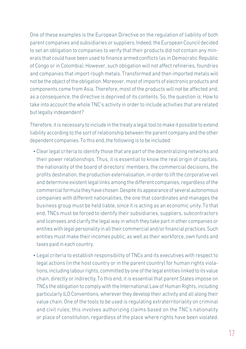One of these examples is the European Directive on the regulation of liability of both parent companies and subsidiaries or suppliers. Indeed, the European Council decided to set an obligation to companies to verify that their products did not contain any minerals that could have been used to finance armed conflicts (as in Democratic Republic of Congo or in Colombia). However, such obligation will not affect refineries, foundries and companies that import rough metals. Transformed and then imported metals will not be the object of the obligation. Moreover, most of imports of electronic products and components come from Asia. Therefore, most of the products will not be affected and, as a consequence, the directive is deprived of its contents. So, the question is: How to take into account the whole TNC's activity in order to include activities that are related but legally independent?

Therefore, it is necessary to include in the treaty a legal tool to make it possible to extend liability according to the sort of relationship between the parent company and the other dependent companies. To this end, the following is to be included:

- Clear legal criteria to identify those that are part of the decentralizing networks and their power relationships. Thus, it is essential to know the real origin of capitals, the nationality of the board of directors' members, the commercial decisions, the profits destination, the production externalisation, in order to lift the corporative veil and determine existent legal links among the different companies, regardless of the commercial formula they have chosen. Despite its appearance of several autonomous companies with different nationalities, the one that coordinates and manages the business group must be held liable, since it is acting as an economic unity. To that end, TNCs must be forced to identify their subsidiaries, suppliers, subcontractors and licensees and clarify the legal way in which they take part in other companies or entities with legal personality in all their commercial and/or financial practices. Such entities must make their incomes public, as well as their workforce, own funds and taxes paid in each country.
- Legal criteria to establish responsibility of TNCs and its executives with respect to legal actions (in the host country or in the parent country) for human rights violations, including labour rights, committed by one of the legal entities linked to its value chain, directly or indirectly. To this end, it is essential that parent States impose on TNCs the obligation to comply with the International Law of Human Rights, including particularly ILO Conventions, wherever they develop their activity and all along their value chain. One of the tools to be used is regulating extraterritoriality on criminal and civil rules; this involves authorizing claims based on the TNC's nationality or place of constitution, regardless of the place where rights have been violated.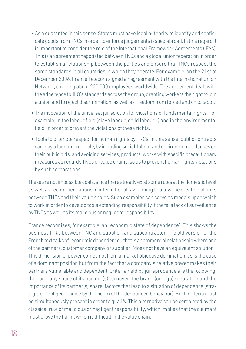- As a guarantee in this sense, States must have legal authority to identify and confis-•cate goods from TNCs in order to enforce judgements issued abroad. In this regard it is important to consider the role of the International Framework Agreements (IFAs). This is an agreement negotiated between TNCs and a global union federation in order to establish a relationship between the parties and ensure that TNCs respect the same standards in all countries in which they operate. For example, on the 21st of December 2006, France Telecom signed an agreement with the International Union Network, covering about 200,000 employees worldwide. The agreement dealt with the adherence to ILO's standards across the group, granting workers the right to join a union and to reject discrimination, as well as freedom from forced and child labor.
- The invocation of the universal jurisdiction for violations of fundamental rights. For example, in the labour field (slave labour, child labour...) and in the environmental field, in order to prevent the violations of these rights.
- Tools to promote respect for human rights by TNCs. In this sense, public contracts can play a fundamental role, by including social, labour and environmental clauses on their public bids, and avoiding services, products, works with specific precautionary measures as regards TNCs or value chains, so as to prevent human rights violations by such corporations.

These are not impossible goals, since there already exist some rules at the domestic level as well as recommendations in international law aiming to allow the creation of links between TNCs and their value chains. Such examples can serve as models upon which to work in order to develop tools extending responsibility if there is lack of surveillance by TNCs as well as its malicious or negligent responsibility.

France recognises, for example, an "economic state of dependence". This shows the business links between TNC and supplier, and subcontractor. The old version of the French text talks of "economic dependence", that is a commercial relationship where one of the partners, customer company or supplier, "does not have an equivalent solution". This dimension of power comes not from a market objective domination, as is the case of a dominant position but from the fact that a company's relative power makes their partners vulnerable and dependent. Criteria held by jurisprudence are the following: the company share of its partner(s) turnover, the brand (or logo) reputation and the importance of its partner(s) share, factors that lead to a situation of dependence (strategic or "obliged" choice by the victim of the denounced behaviour). Such criteria must be simultaneously present in order to qualify. This alternative can be completed by the classical rule of malicious or negligent responsibility, which implies that the claimant must prove the harm, which is difficult in the value chain.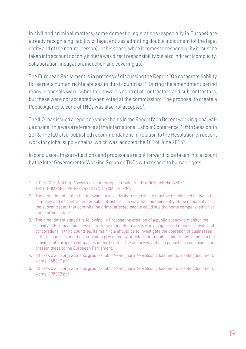In civil and criminal matters, some domestic legislations (especially in Europe) are already recognising liability of legal entities admitting double indictment (of the legal entity and of the natural person). In this sense, when it comes to responsibility it must be taken into account not only if there was direct responsibility but also indirect (complicity, collaboration, instigation, induction and covering up).

The European Parliament is in process of discussing the Report "On corporate liability for serious human rights abuses in third countries"1 . During the amendment period many proposals were submitted towards control of contractors and subcontractors, but these were not accepted when voted at the commission<sup>2</sup>. The proposal to create a Public Agency to control TNCs was also not accepted<sup>3</sup>.

The ILO4 has issued a report on value chains in the Report IV on Decent work in global value chains. This was a reference at the International Labour Conference, 105th Session, in 2016. The ILO also published recommendations in relation to the Resolution on decent work for global supply chains, which was adopted the 10<sup>th</sup> of June 2016<sup>5</sup>.

In conclusion, these reflections and proposals are put forward to be taken into account by the Inter Governmental Working Group on TNCs with respect to human rights.

- 1. 2015/2315(INI)) http://www.europarl.europa.eu/sides/getDoc.do?pubRef=-//EP// TEXT+COMPARL+PE-578.743+01+NOT+XML+V0//EN
- 2. The amendment stated the following: « a solidarity responsibility must be established between the company and its contractors or subcontractors, in a way that, independently of the nationality of the subcontractor that commits the crime, affected people could sue the home company, either at home or host state".
- 3. The amendment stated the following : « Propose the creation of a public agency to monitor the activity of European businesses, with the mandate to analyze, investigate and monitor activities of corporations in third countries. Its main role should be to investigate the operation of businesses in third countries and the complaints presented by affected communities and organizations on the activities of European companies in third states. The agency would also publish its conclusions and present these to the European Parliament."
- 4. http://www.ilo.org/wcmsp5/groups/public/---ed\_norm/---relconf/documents/meetingdocument/ wcms\_468097.pdf
- 5. http://www.ilo.org/wcmsp5/groups/public/---ed\_norm/---relconf/documents/meetingdocument/ wcms\_498373.pdf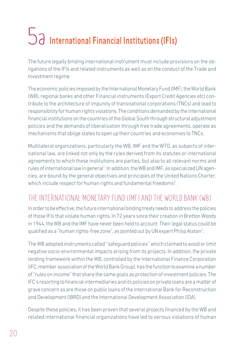# International Financial Institutions (IFIs) 5a

The future legally binding international instrument must include provisions on the obligations of the IFIs and related instruments as well as on the conduct of the Trade and Investment regime.

The economic policies imposed by the International Monetary Fund (IMF), the World Bank (WB), regional banks and other Financial instruments (Export Credit Agencies etc) contribute to the architecture of impunity of transnational corporations (TNCs) and lead to responsibility for human rights violations. The conditions demanded by the international financial institutions on the countries of the Global South through structural adjustment policies and the demands of liberalisation through free trade agreements, operate as mechanisms that oblige states to open up their countries and economies to TNCs.

Multilateral organizations, particularly the WB, IMF and the WTO, as subjects of international law, are linked not only by the rules derived from its statutes or international agreements to which these institutions are parties, but also to all relevant norms and rules of international law in general<sup>1</sup>. In addition, the WB and IMF, as specialized UN agencies, are bound by the general objectives and principles of the United Nations Charter, which include respect for human rights and fundamental freedoms<sup>2</sup>.

#### THE INTERNATIONAL MONETARY FUND (IMF) AND THE WORLD BANK (WB)

In order to be effective, the future international binding treaty needs to address the policies of those IFIs that violate human rights. In 72 years since their creation in Bretton Woods in 1944, the WB and the IMF have never been held to account. Their legal status could be qualified as a "human rights-free zone", as pointed out by UN expert Philip Alston<sup>3</sup>.

The WB adopted instruments called "safeguard policies" which claimed to avoid or limit negative socio-environmental impacts arising from its projects. In addition, the private lending framework within the WB, controlled by the International Finance Corporation (IFC, member association of the World Bank Group), has the function to examine a number of "rules on income" that share the same goals as protection of investment policies. The IFC's resorting to financial intermediaries and its policies on private loans are a matter of grave concern as are those on public loans of the International Bank for Reconstruction and Development (IBRD) and the International Development Association (IDA).

Despite these policies, it has been proven that several projects financed by the WB and related international financial organizations have led to serious violations of human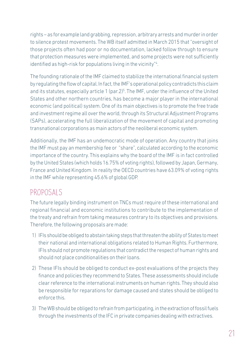rights – as for example land grabbing, repression, arbitrary arrests and murder in order to silence protest movements. The WB itself admitted in March 2015 that "oversight of those projects often had poor or no documentation, lacked follow through to ensure that protection measures were implemented, and some projects were not sufficiently identified as high-risk for populations living in the vicinity"4 .

The founding rationale of the IMF claimed to stabilize the international financial system by regulating the flow of capital. In fact, the IMF's operational policy contradicts this claim and its statutes, especially article 1 (par.2)<sup>5</sup>. The IMF, under the influence of the United States and other northern countries, has become a major player in the international economic (and political) system. One of its main objectives is to promote the free trade and investment regime all over the world, through its Structural Adjustment Programs (SAPs), accelerating the full liberalization of the movement of capital and promoting transnational corporations as main actors of the neoliberal economic system.

Additionally, the IMF has an undemocratic mode of operation. Any country that joins the IMF must pay an membership fee or "share", calculated according to the economic importance of the country. This explains why the board of the IMF is in fact controlled by the United States (which holds 16.75% of voting rights), followed by Japan, Germany, France and United Kingdom. In reality the OECD countries have 63.09% of voting rights in the IMF while representing 45.6% of global GDP.

#### PROPOSALS

The future legally binding instrument on TNCs must require of these international and regional financial and economic institutions to contribute to the implementation of the treaty and refrain from taking measures contrary to its objectives and provisions. Therefore, the following proposals are made:

- 1) IFIs should be obliged to abstain taking steps that threaten the ability of States to meet their national and international obligations related to Human Rights. Furthermore, IFIs should not promote regulations that contradict the respect of human rights and should not place conditionalities on their loans.
- 2) These IFIs should be obliged to conduct ex-post evaluations of the projects they finance and policies they recommend to States. These assessments should include clear reference to the international instruments on human rights. They should also be responsible for reparations for damage caused and states should be obliged to enforce this.
- 3) The WB should be obliged to refrain from participating, in the extraction of fossil fuels through the investments of the IFC in private companies dealing with extractives.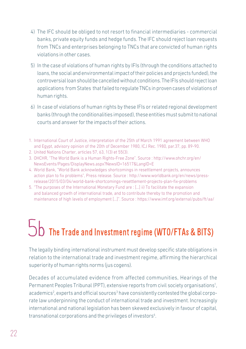- 4) The IFC should be obliged to not resort to financial intermediaries commercial banks, private equity funds and hedge funds. The IFC should reject loan requests from TNCs and enterprises belonging to TNCs that are convicted of human rights violations in other cases.
- 5) In the case of violations of human rights by IFIs (through the conditions attached to loans, the social and environmental impact of their policies and projects funded), the controversial loan should be cancelled without conditions. The IFIs should reject loan applications from States that failed to regulate TNCs in proven cases of violations of human rights.
- 6) In case of violations of human rights by these IFIs or related regional development banks (through the conditionalities imposed), these entities must submit to national courts and answer for the impacts of their actions.
- 1. International Court of Justice, interpretation of the 25th of March 1991 agreement between WHO and Egypt, advisory opinion of the 20th of December 1980, ICJ Rec. 1980, par.37, pp. 89-90.
- 2. United Nations Charter, articles 57, 63, 1(3) et 55(3).
- 3. OHCHR, "The World Bank is a Human Rights-Free Zone". Source : http://www.ohchr.org/en/ NewsEvents/Pages/DisplayNews.aspx?NewsID=16517&LangID=E
- 4. World Bank, "World Bank acknowledges shortcomings in resettlement projects, announces action plan to fix problems", Press release. Source : http://www.worldbank.org/en/news/pressrelease/2015/03/04/world-bank-shortcomings-resettlement-projects-plan-fix-problems
- 5. "The purposes of the International Monetary Fund are : […] ii) To facilitate the expansion and balanced growth of international trade, and to contribute thereby to the promotion and maintenance of high levels of employment […]". Source : https://www.imf.org/external/pubs/ft/aa/

# The Trade and Investment regime (WTO/FTAs & BITS) 5b

The legally binding international instrument must develop specific state obligations in relation to the international trade and investment regime, affirming the hierarchical superiority of human rights norms (jus cogens).

Decades of accumulated evidence from affected communities, Hearings of the Permanent Peoples Tribunal (PPT), extensive reports from civil society organisations<sup>1</sup>, academics<sup>2</sup>, experts and official sources<sup>3</sup> have consistently contested the global corporate law underpinning the conduct of international trade and investment. Increasingly international and national legislation has been skewed exclusively in favour of capital, transnational corporations and the privileges of investors<sup>4</sup>.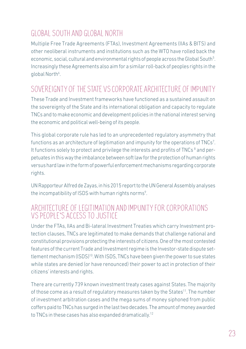### GLOBAL SOUTH AND GLOBAL NORTH

Multiple Free Trade Agreements (FTAs), Investment Agreements (IIAs & BITS) and other neoliberal instruments and institutions such as the WTO have rolled back the economic, social, cultural and environmental rights of people across the Global South<sup>5</sup>. Increasingly these Agreements also aim for a similar roll-back of peoples rights in the global North<sup>6</sup>.

#### SOVEREIGNTY OF THE STATE VS CORPORATE ARCHITECTURE OF IMPUNITY

These Trade and Investment frameworks have functioned as a sustained assault on the sovereignty of the State and its international obligation and capacity to regulate TNCs and to make economic and development policies in the national interest serving the economic and political well-being of its people.

This global corporate rule has led to an unprecedented regulatory asymmetry that functions as an architecture of legitimation and impunity for the operations of TNCs<sup>7</sup>. It functions solely to protect and privilege the interests and profits of TNCs <sup>8</sup> and perpetuates in this way the imbalance between soft law for the protection of human rights versus hard law in the form of powerful enforcement mechanisms regarding corporate rights.

UN Rapporteur Alfred de Zayas, in his 2015 report to the UN General Assembly analyses the incompatibility of ISDS with human rights norms<sup>9</sup>.

#### ARCHITECTURE OF LEGITIMATION AND IMPUNITY FOR CORPORATIONS VS PEOPLE'S ACCESS TO JUSTICE

Under the FTAs, IIAs and Bi-lateral Investment Treaties which carry Investment protection clauses, TNCs are legitimated to make demands that challenge national and constitutional provisions protecting the interests of citizens. One of the most contested features of the current Trade and Investment regime is the Investor-state dispute settlement mechanism (ISDS)10. With ISDS, TNCs have been given the power to sue states while states are denied (or have renounced) their power to act in protection of their citizens' interests and rights.

There are currently 739 known investment treaty cases against States. The majority of those come as a result of regulatory measures taken by the States<sup>11</sup>. The number of investment arbitration cases and the mega sums of money siphoned from public coffers paid to TNCs has surged in the last two decades. The amount of money awarded to TNCs in these cases has also expanded dramatically.<sup>12</sup>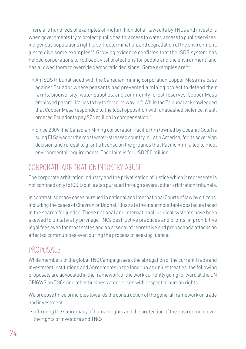There are hundreds of examples of multimillion dollar lawsuits by TNCs and investors when governments try to protect public health, access to water, access to public services, indigenous populations right to self-determination, and degradation of the environment, just to give some examples<sup>13</sup>. Growing evidence confirms that the ISDS system has helped corporations to roll back vital protections for people and the environment, and has allowed them to override democratic decisions. Some examples are<sup>14</sup>:

- An ISDS tribunal sided with the Canadian mining corporation Copper Mesa in a case against Ecuador where peasants had prevented a mining project to defend their farms, biodiversity, water supplies, and community forest reserves. Copper Mesa employed paramilitaries to try to force its way in<sup>15</sup>. While the Tribunal acknowledged that Copper Mesa responded to the local opposition with unabashed violence, it still ordered Ecuador to pay \$24 million in compensation<sup>16</sup>.
- Since 2009, the Canadian Mining corporation Pacific Rim (owned by Oceanic Gold) is suing El Salvador (the most water-stressed country in Latin America) for its sovereign decision and refusal to grant a license on the grounds that Pacific Rim failed to meet environmental requirements. The claim is for USD250 million.

#### CORPORATE ARBITRATION INDUSTRY ABUSE

The corporate arbitration industry and the privatisation of justice which it represents is not confined only to ICSID but is also pursued through several other arbitration tribunals.

In contrast, so many cases pursued in national and International Courts of law by citizens, including the cases of Chevron or Bophal, illustrate the insurmountable obstacles faced in the search for justice. These national and international juridical systems have been skewed to unilaterally privilege TNCs destructive practices and profits; in prohibitive legal fees even for most states and an arsenal of repressive and propaganda attacks on affected communities even during the process of seeking justice.

#### PROPOSALS

While members of the global TNC Campaign seek the abrogation of the current Trade and Investment Institutions and Agreements in the long run as unjust treaties, the following proposals are advocated in the framework of the work currently going forward at the UN OEIGWG on TNCs and other business enterprises with respect to human rights.

We propose three principles towards the construction of the general framework on trade and investment:

• affirming the supremacy of human rights and the protection of the environment over the rights of investors and TNCs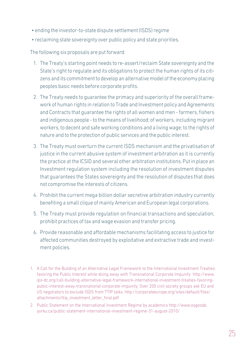- ending the investor-to-state dispute settlement (ISDS) regime
- reclaiming state sovereignty over public policy and state priorities.

The following six proposals are put forward:

- 1. The Treaty's starting point needs to re-assert/reclaim State sovereignty and the State's right to regulate and its obligations to protect the human rights of its citizens and its commitment to develop an alternative model of the economy placing peoples basic needs before corporate profits.
- 2. The Treaty needs to guarantee the primacy and superiority of the overall framework of human rights in relation to Trade and Investment policy and Agreements and Contracts that guarantee the rights of all women and men - farmers, fishers and indigenous people - to the means of livelihood; of workers, including migrant workers, to decent and safe working conditions and a living wage; to the rights of nature and to the protection of public services and the public interest.
- 3. The Treaty must overturn the current ISDS mechanism and the privatisation of justice in the current abusive system of investment arbitration as it is currently the practice at the ICSID and several other arbitration institutions. Put in place an Investment regulation system including the resolution of investment disputes that guarantees the States sovereignty and the resolution of disputes that does not compromise the interests of citizens.
- 4. Prohibit the current mega billion dollar secretive arbitration industry currently benefiting a small clique of mainly American and European legal corporations.
- 5. The Treaty must provide regulation on financial transactions and speculation, prohibit practices of tax and wage evasion and transfer pricing.
- 6. Provide reasonable and affordable mechanisms facilitating access to justice for affected communities destroyed by exploitative and extractive trade and investment policies.
- 1. A Call for the Building of an Alternative Legal Framework to the International Investment Treaties: favoring the Public Interest while doing away with Transnational Corporate Impunity http://www. ips-dc.org/call-building-alternative-legal-framework-international-investment-treaties-favoringpublic-interest-away-transnational-corporate-impunity; Over 200 civil society groups ask EU and US negotiators to exclude ISDS from TTIP talks. http://corporateeurope.org/sites/default/files/ attachments/ttip\_investment\_letter\_final.pdf
- 2. Public Statement on the International Investment Regime by academics http://www.osgoode. yorku.ca/public-statement-international-investment-regime-31-august-2010/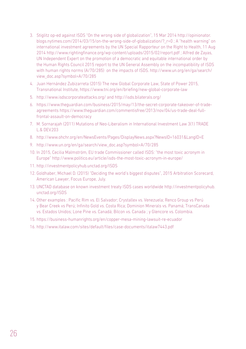- 3. Stiglitz op-ed against ISDS "On the wrong side of globalization", 15 Mar 2014 http://opinionator. blogs.nytimes.com/2014/03/15/on-the-wrong-side-of-globalization/? r=0 ; A "health warning" on international investment agreements by the UN Special Rapporteur on the Right to Health, 11 Aug 2014 http://www.rightingfinance.org/wp-content/uploads/2015/02/report.pdf ; Alfred de Zayas, UN Independent Expert on the promotion of a democratic and equitable international order by the Human Rights Council 2015 report to the UN General Assembly on the incompatibility of ISDS with human rights norms (A/70/285) on the impacts of ISDS. http://www.un.org/en/ga/search/ view\_doc.asp?symbol=A/70/285
- 4. Juan Hernández Zubizarreta (2015) The new Global Corporate Law, State of Power 2015, Transnational Institute, https://www.tni.org/en/briefing/new-global-corporate-law
- 5. http://www.isdscorporateattacks.org/ and http://isds.bilaterals.org/
- 6. https://www.theguardian.com/business/2015/may/13/the-secret-corporate-takeover-of-tradeagreements https://www.theguardian.com/commentisfree/2013/nov/04/us-trade-deal-fullfrontal-assault-on-democracy
- 7. M. Sornarajah (2011) Mutations of Neo-Liberalism in International Investment Law 3(1) TRADE L.& DEV.203
- 8. http://www.ohchr.org/en/NewsEvents/Pages/DisplayNews.aspx?NewsID=16031&LangID=E
- 9. http://www.un.org/en/ga/search/view\_doc.asp?symbol=A/70/285
- 10. In 2015, Cecilia Malmström, EU trade Commissioner called ISDS: "the most toxic acronym in Europe" http://www.politico.eu/article/isds-the-most-toxic-acronym-in-europe/
- 11. http://investmentpolicyhub.unctad.org/ISDS
- 12. Goldhaber, Michael D. (2015) "Deciding the world's biggest disputes", 2015 Arbitration Scorecard, American Lawyer, Focus Europe, July.
- 13. UNCTAD database on known investment treaty ISDS cases worldwide http://investmentpolicyhub. unctad.org/ISDS
- 14. Other examples : Pacific Rim vs. El Salvador; Crystallex vs. Venezuela; Renco Group vs Perú y Bear Creek vs Perú; Infinito Gold vs. Costa Rica; Dominion Minerals vs. Panamá; TransCanada vs. Estados Unidos; Lone Pine vs. Canadá; Bilcon vs. Canada ; y Glencore vs. Colombia.
- 15. https://business-humanrights.org/en/copper-mesa-mining-lawsuit-re-ecuador
- 16. http://www.italaw.com/sites/default/files/case-documents/italaw7443.pdf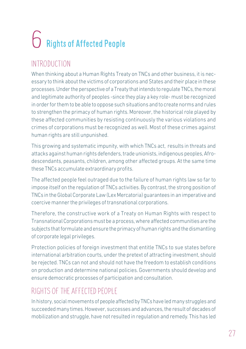# Rights of Affected People 6

### INTRODUCTION

When thinking about a Human Rights Treaty on TNCs and other business, it is necessary to think about the victims of corporations and States and their place in these processes. Under the perspective of a Treaty that intends to regulate TNCs, the moral and legitimate authority of peoples -since they play a key role- must be recognized in order for them to be able to oppose such situations and to create norms and rules to strengthen the primacy of human rights. Moreover, the historical role played by these affected communities by resisting continuously the various violations and crimes of corporations must be recognized as well. Most of these crimes against human rights are still unpunished.

This growing and systematic impunity, with which TNCs act, results in threats and attacks against human rights defenders, trade unionists, indigenous peoples, Afrodescendants, peasants, children, among other affected groups. At the same time these TNCs accumulate extraordinary profits.

The affected people feel outraged due to the failure of human rights law so far to impose itself on the regulation of TNCs activities. By contrast, the strong position of TNCs in the Global Corporate Law (Lex Mercatoria) guarantees in an imperative and coercive manner the privileges of transnational corporations.

Therefore, the constructive work of a Treaty on Human Rights with respect to Transnational Corporations must be a process, where affected communities are the subjects that formulate and ensure the primacy of human rights and the dismantling of corporate legal privileges.

Protection policies of foreign investment that entitle TNCs to sue states before international arbitration courts, under the pretext of attracting investment, should be rejected. TNCs can not and should not have the freedom to establish conditions on production and determine national policies. Governments should develop and ensure democratic processes of participation and consultation.

## RIGHTS OF THE AFFECTED PEOPLE

In history, social movements of people affected by TNCs have led many struggles and succeeded many times. However, successes and advances, the result of decades of mobilization and struggle, have not resulted in regulation and remedy. This has led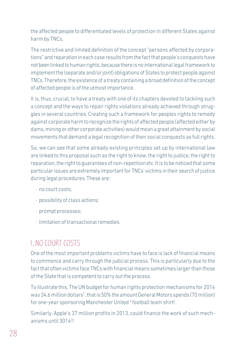the affected people to differentiated levels of protection in different States against harm by TNCs.

The restrictive and limited definition of the concept "persons affected by corporations" and reparation in each case results from the fact that people's conquests have not been linked to human rights, because there is no international legal framework to implement the (separate and/or joint) obligations of States to protect people against TNCs. Therefore, the existence of a treaty containing a broad definition of the concept of affected people is of the utmost importance.

It is, thus, crucial, to have a treaty with one of its chapters devoted to tackling such a concept and the ways to repair rights violations already achieved through struggles in several countries. Creating such a framework for peoples rights to remedy against corporate harm to recognize the rights of affected people (affected either by dams, mining or other corporate activities) would mean a great attainment by social movements that demand a legal recognition of their social conquests as full rights.

So, we can see that some already existing principles set up by international law are linked to this proposal such as the right to know, the right to justice, the right to reparation, the right to guarantees of non-repetition etc. It is to be noticed that some particular issues are extremely important for TNCs' victims in their search of justice during legal procedures. These are:

- · no court costs;
- · possibility of class actions;
- · prompt processes;
- · limitation of transactional remedies.

#### I. NO COURT COSTS

One of the most important problems victims have to face is lack of financial means to commence and carry through the judicial process. This is particularly due to the fact that often victims face TNCs with financial means sometimes larger than those of the State that is competent to carry out the process.

To illustrate this, The UN budget for human rights protection mechanisms for 2014 was 34,6 million dollars<sup>1</sup>, that is 50% the amount General Motors spends (70 million) for one-year sponsoring Manchester United<sup>2</sup> football team shirt!

Similarly, Apple's 37 million profits in 2013, could finance the work of such mechanisms until 30143 !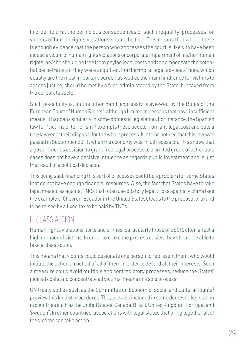In order to limit the pernicious consequences of such inequality, processes for victims of human rights violations should be free. This means that where there is enough evidence that the person who addresses the court is likely to have been indeed a victim of human rights violations or corporate impairment of his/her human rights, he/she should be free from paying legal costs and to compensate the potential perpetrators if they were acquitted. Furthermore, legal advisers' fees, which usually are the most important burden as well as the main hindrance for victims to access justice, should be met by a fund administered by the State, but taxed from the corporate sector.

Such possibility is, on the other hand, expressly previewed by the Rules of the European Court of Human Rights<sup>4</sup>, although limited to persons that have insufficient means. It happens similarly in some domestic legislation. For instance, the Spanish law for "victims of terrorism"<sup>5</sup> exempts these people from any legal cost and puts a free lawyer at their disposal for the whole process. It is to be noticed that this law was passed in September 2011, when the economy was in full recession. This shows that a government's decision to grant free legal process to a limited group of actionable cases does not have a decisive influence as regards public investment and is just the result of a political decision.

This being said, financing this sort of processes could be a problem for some States that do not have enough financial resources. Also, the fact that States have to take legal measures against TNCs that often use dilatory legal tricks against victims (see the example of Chevron-Ecuador in the United States), leads to the proposal of a fund to be raised by a fixed tax to be paid by TNCs.

#### II. CLASS ACTION

Human rights violations, torts and crimes, particularly those of ESCR, often affect a high number of victims. In order to make the process easier, they should be able to take a class action.

This means that victims could designate one person to represent them, who would initiate the action on behalf of all of them in order to defend all their interests. Such a measure could avoid multiple and contradictory processes, reduce the States' judicial costs and concentrate all victims' means in a sole process.

UN treaty bodies such as the Committee on Economic, Social and Cultural Rights<sup>6</sup> preview this kind of procedures. They are also included in some domestic legislation in countries such as the United States, Canada, Brazil, United Kingdom, Portugal and Sweden<sup>7</sup>. In other countries, associations with legal status that bring together all of the victims can take action.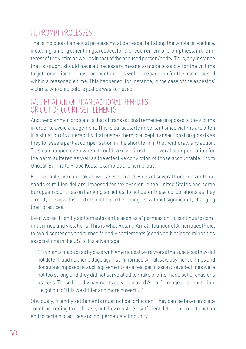### III. PROMPT PROCESSES

The principles of an equal process must be respected along the whole procedure, including, among other things, respect for the requirement of promptness, in the interest of the victim as well as in that of the accused person/entity. Thus, any instance that is sought should have all necessary means to make possible for the victims to get conviction for those accountable, as well as reparation for the harm caused within a reasonable time. This happened, for instance, in the case of the asbestos' victims, who died before justice was achieved.

#### IV. LIMITATION OF TRANSACTIONAL REMEDIES OR OUT OF COURT SETTLEMENTS

Another common problem is that of transactional remedies proposed to the victims in order to avoid a judgement. This is particularly important since victims are often in a situation of vulnerability that pushes them to accept transactional proposals as they foresee a partial compensation in the short term if they withdraw any action. This can happen even when it could take victims to an overall compensation for the harm suffered as well as the effective conviction of those accountable. From Unocal-Burma to Probo Koala, examples are numerous.

For exemple, we can look at two cases of fraud. Fines of several hundreds or thousands of million dollars, imposed for tax evasion in the United States and some European countries on banking societies do not deter these corporations as they already preview this kind of sanction in their budgets, without significantly changing their practices.

Even worse, friendly settlements can be seen as a "permission" to continue to commit crimes and violations. This is what Roland Arnall, founder of Ameriquest <sup>8</sup> did, to avoid sentences and turned friendly settlements (goods deliveries to minorities associations in the US) to his advantage:

"Payments made case by case with Ameriquest were worse than useless: they did not deter fraud neither pillage against minorities. Arnall saw payment of fines and donations imposed by such agreements as a real permission to evade. Fines were not too strong and they did not serve at all to make profits made out of evasions useless. These friendly payments only improved Arnall's image and reputation. He got out of this wealthier and more powerful."<sup>9</sup>

Obviously, friendly settlements must not be forbidden. They can be taken into account, according to each case, but they must be a sufficient deterrent so as to put an end to certain practices and not perpetuate impunity.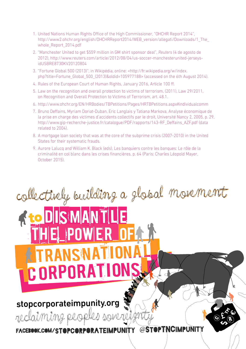- 1. United Nations Human Rights Office of the High Commissioner, "OHCHR Report 2014", http://www2.ohchr.org/english/OHCHRReport2014/WEB\_version/allegati/Downloads/1\_The\_ whole\_Report\_2014.pdf
- 2. "Manchester United to get \$559 million in GM shirt sponsor deal", *Reuters* (4 de agosto de 2012), http://www.reuters.com/article/2012/08/04/us-soccer-manchesterunited-jerseysidUSBRE8730KV20120804
- 3. "Fortune Global 500 (2013)", in Wikipédia, online: <http://fr.wikipedia.org/w/index. php?title=Fortune\_Global\_500\_(2013)&oldid=105977188> (accessed on the 6th August 2014).
- 4. Rules of the European Court of Human Rights, January 2016, Article 100 ff.
- 5. Law on the recognition and overall protection to victims of terrorism, (2011), Law 29/2011, on Recognition and Overall Protection to Victims of Terrorism, art. 48.1.
- 6. http://www.ohchr.org/EN/HRBodies/TBPetitions/Pages/HRTBPetitions.aspx#individualcomm
- 7. Bruno Deffains, Myriam Doriat-Duban, Eric Langlais y Tatiana Markova, Analyse économique de la prise en charge des victimes d'accidents collectifs par le droit, Université Nancy 2, 2005, p. 29, http://www.gip-recherche-justice.fr/catalogue/PDF/rapports/143-RF\_Deffains\_AZF.pdf (data related to 2004).
- 8. A mortgage loan society that was at the core of the subprime crisis (2007-2010) in the United States for their systematic frauds.
- 9. Aurore Lalucq and William K. Black (eds), Les banquiers contre les banques: Le rôle de la criminalité en col blanc dans les crises financières, p. 64 (Paris: Charles Léopold Mayer, October 2015).